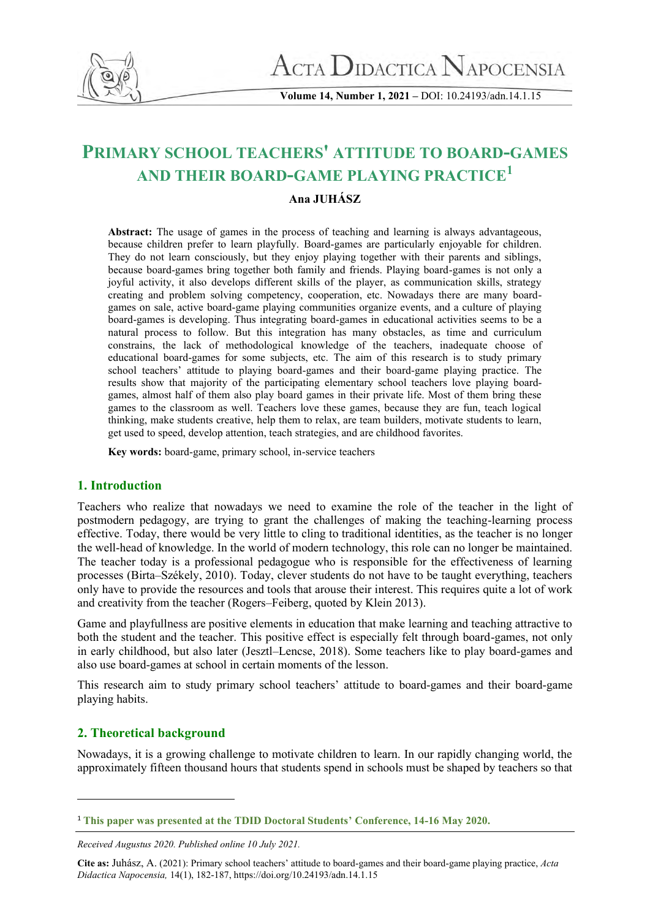

**Volume 14, Number 1, 2021 –** DOI: 10.24193/adn.14.1.15

# **PRIMARY SCHOOL TEACHERS' ATTITUDE TO BOARD-GAMES AND THEIR BOARD-GAME PLAYING PRACTICE<sup>1</sup>**

# **Ana JUHÁSZ**

**Abstract:** The usage of games in the process of teaching and learning is always advantageous, because children prefer to learn playfully. Board-games are particularly enjoyable for children. They do not learn consciously, but they enjoy playing together with their parents and siblings, because board-games bring together both family and friends. Playing board-games is not only a joyful activity, it also develops different skills of the player, as communication skills, strategy creating and problem solving competency, cooperation, etc. Nowadays there are many boardgames on sale, active board-game playing communities organize events, and a culture of playing board-games is developing. Thus integrating board-games in educational activities seems to be a natural process to follow. But this integration has many obstacles, as time and curriculum constrains, the lack of methodological knowledge of the teachers, inadequate choose of educational board-games for some subjects, etc. The aim of this research is to study primary school teachers' attitude to playing board-games and their board-game playing practice. The results show that majority of the participating elementary school teachers love playing boardgames, almost half of them also play board games in their private life. Most of them bring these games to the classroom as well. Teachers love these games, because they are fun, teach logical thinking, make students creative, help them to relax, are team builders, motivate students to learn, get used to speed, develop attention, teach strategies, and are childhood favorites.

**Key words:** board-game, primary school, in-service teachers

# **1. Introduction**

Teachers who realize that nowadays we need to examine the role of the teacher in the light of postmodern pedagogy, are trying to grant the challenges of making the teaching-learning process effective. Today, there would be very little to cling to traditional identities, as the teacher is no longer the well-head of knowledge. In the world of modern technology, this role can no longer be maintained. The teacher today is a professional pedagogue who is responsible for the effectiveness of learning processes (Birta–Székely, 2010). Today, clever students do not have to be taught everything, teachers only have to provide the resources and tools that arouse their interest. This requires quite a lot of work and creativity from the teacher (Rogers–Feiberg, quoted by Klein 2013).

Game and playfullness are positive elements in education that make learning and teaching attractive to both the student and the teacher. This positive effect is especially felt through board-games, not only in early childhood, but also later (Jesztl–Lencse, 2018). Some teachers like to play board-games and also use board-games at school in certain moments of the lesson.

This research aim to study primary school teachers' attitude to board-games and their board-game playing habits.

# **2. Theoretical background**

Nowadays, it is a growing challenge to motivate children to learn. In our rapidly changing world, the approximately fifteen thousand hours that students spend in schools must be shaped by teachers so that

<sup>1</sup> **This paper was presented at the TDID Doctoral Students' Conference, 14-16 May 2020.**

*Received Augustus 2020. Published online 10 July 2021.*

**Cite as:** Juhász, A. (2021): Primary school teachers' attitude to board-games and their board-game playing practice, *Acta Didactica Napocensia,* 14(1), 182-187, https://doi.org/10.24193/adn.14.1.15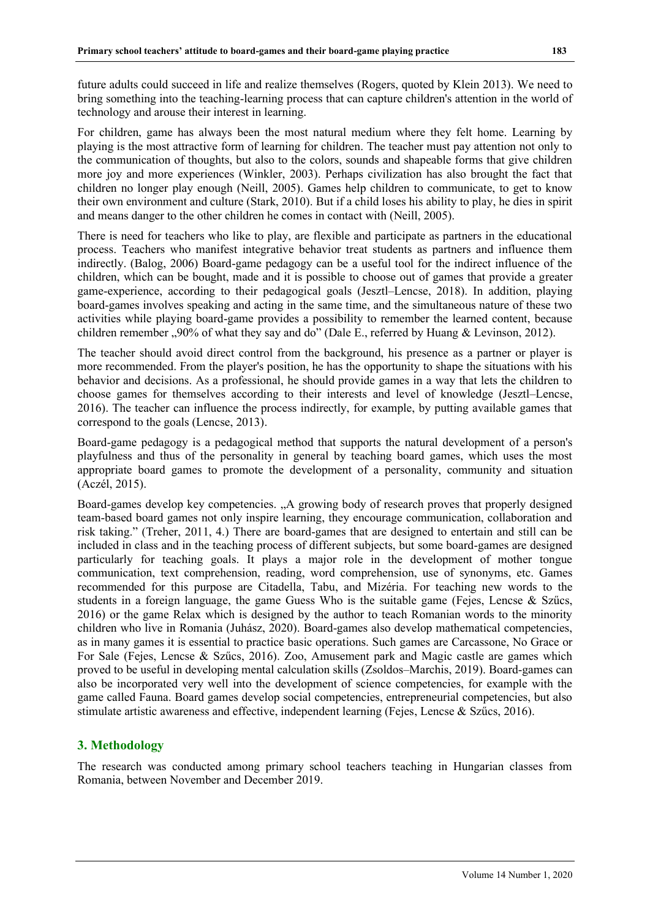future adults could succeed in life and realize themselves (Rogers, quoted by Klein 2013). We need to bring something into the teaching-learning process that can capture children's attention in the world of technology and arouse their interest in learning.

For children, game has always been the most natural medium where they felt home. Learning by playing is the most attractive form of learning for children. The teacher must pay attention not only to the communication of thoughts, but also to the colors, sounds and shapeable forms that give children more joy and more experiences (Winkler, 2003). Perhaps civilization has also brought the fact that children no longer play enough (Neill, 2005). Games help children to communicate, to get to know their own environment and culture (Stark, 2010). But if a child loses his ability to play, he dies in spirit and means danger to the other children he comes in contact with (Neill, 2005).

There is need for teachers who like to play, are flexible and participate as partners in the educational process. Teachers who manifest integrative behavior treat students as partners and influence them indirectly. (Balog, 2006) Board-game pedagogy can be a useful tool for the indirect influence of the children, which can be bought, made and it is possible to choose out of games that provide a greater game-experience, according to their pedagogical goals (Jesztl–Lencse, 2018). In addition, playing board-games involves speaking and acting in the same time, and the simultaneous nature of these two activities while playing board-game provides a possibility to remember the learned content, because children remember ,,90% of what they say and do" (Dale E., referred by Huang & Levinson, 2012).

The teacher should avoid direct control from the background, his presence as a partner or player is more recommended. From the player's position, he has the opportunity to shape the situations with his behavior and decisions. As a professional, he should provide games in a way that lets the children to choose games for themselves according to their interests and level of knowledge (Jesztl–Lencse, 2016). The teacher can influence the process indirectly, for example, by putting available games that correspond to the goals (Lencse, 2013).

Board-game pedagogy is a pedagogical method that supports the natural development of a person's playfulness and thus of the personality in general by teaching board games, which uses the most appropriate board games to promote the development of a personality, community and situation (Aczél, 2015).

Board-games develop key competencies. "A growing body of research proves that properly designed team-based board games not only inspire learning, they encourage communication, collaboration and risk taking." (Treher, 2011, 4.) There are board-games that are designed to entertain and still can be included in class and in the teaching process of different subjects, but some board-games are designed particularly for teaching goals. It plays a major role in the development of mother tongue communication, text comprehension, reading, word comprehension, use of synonyms, etc. Games recommended for this purpose are Citadella, Tabu, and Mizéria. For teaching new words to the students in a foreign language, the game Guess Who is the suitable game (Fejes, Lencse & Szűcs, 2016) or the game Relax which is designed by the author to teach Romanian words to the minority children who live in Romania (Juhász, 2020). Board-games also develop mathematical competencies, as in many games it is essential to practice basic operations. Such games are Carcassone, No Grace or For Sale (Fejes, Lencse & Szűcs, 2016). Zoo, Amusement park and Magic castle are games which proved to be useful in developing mental calculation skills (Zsoldos–Marchis, 2019). Board-games can also be incorporated very well into the development of science competencies, for example with the game called Fauna. Board games develop social competencies, entrepreneurial competencies, but also stimulate artistic awareness and effective, independent learning (Fejes, Lencse & Szűcs, 2016).

# **3. Methodology**

The research was conducted among primary school teachers teaching in Hungarian classes from Romania, between November and December 2019.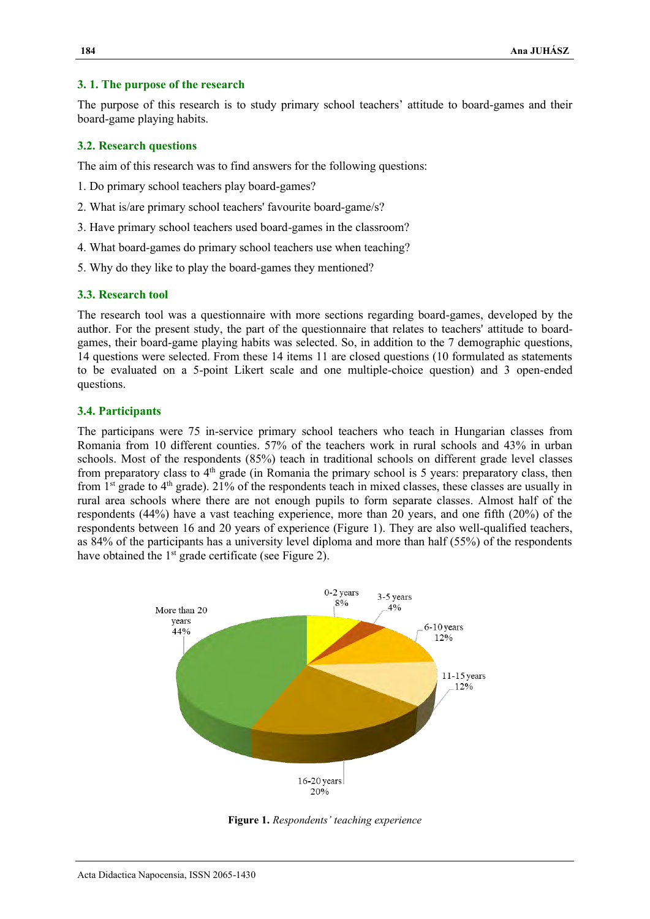#### **3. 1. The purpose of the research**

The purpose of this research is to study primary school teachers' attitude to board-games and their board-game playing habits.

#### **3.2. Research questions**

The aim of this research was to find answers for the following questions:

- 1. Do primary school teachers play board-games?
- 2. What is/are primary school teachers' favourite board-game/s?
- 3. Have primary school teachers used board-games in the classroom?
- 4. What board-games do primary school teachers use when teaching?
- 5. Why do they like to play the board-games they mentioned?

#### **3.3. Research tool**

The research tool was a questionnaire with more sections regarding board-games, developed by the author. For the present study, the part of the questionnaire that relates to teachers' attitude to boardgames, their board-game playing habits was selected. So, in addition to the 7 demographic questions, 14 questions were selected. From these 14 items 11 are closed questions (10 formulated as statements to be evaluated on a 5-point Likert scale and one multiple-choice question) and 3 open-ended questions.

#### **3.4. Participants**

The participans were 75 in-service primary school teachers who teach in Hungarian classes from Romania from 10 different counties. 57% of the teachers work in rural schools and 43% in urban schools. Most of the respondents (85%) teach in traditional schools on different grade level classes from preparatory class to  $4<sup>th</sup>$  grade (in Romania the primary school is 5 years: preparatory class, then from  $1<sup>st</sup>$  grade to  $4<sup>th</sup>$  grade). 21% of the respondents teach in mixed classes, these classes are usually in rural area schools where there are not enough pupils to form separate classes. Almost half of the respondents (44%) have a vast teaching experience, more than 20 years, and one fifth (20%) of the respondents between 16 and 20 years of experience (Figure 1). They are also well-qualified teachers, as 84% of the participants has a university level diploma and more than half (55%) of the respondents have obtained the  $1<sup>st</sup>$  grade certificate (see Figure 2).



**Figure 1.** *Respondents' teaching experience*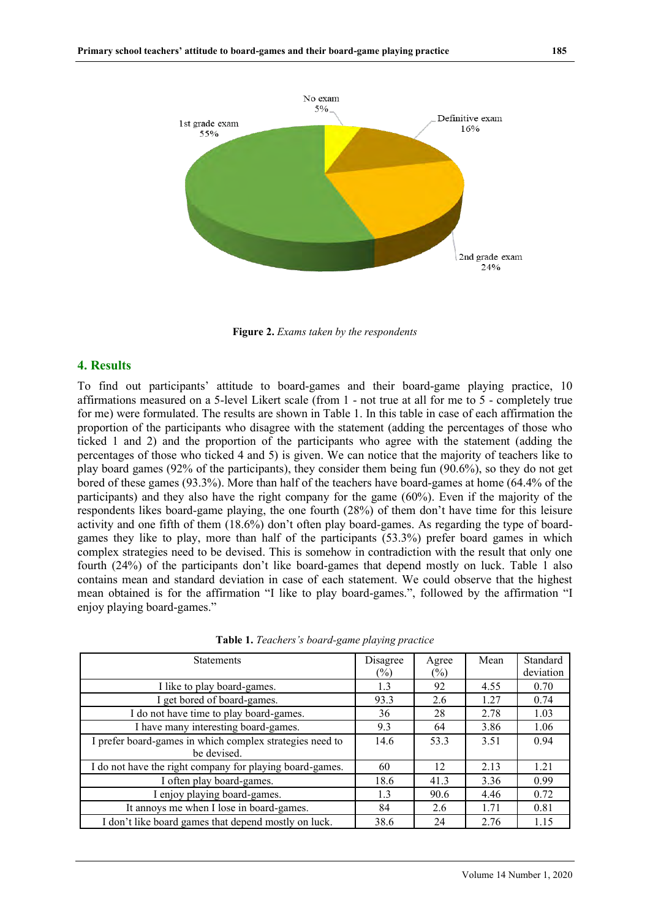

**Figure 2.** *Exams taken by the respondents* 

## **4. Results**

To find out participants' attitude to board-games and their board-game playing practice, 10 affirmations measured on a 5-level Likert scale (from 1 - not true at all for me to 5 - completely true for me) were formulated. The results are shown in Table 1. In this table in case of each affirmation the proportion of the participants who disagree with the statement (adding the percentages of those who ticked 1 and 2) and the proportion of the participants who agree with the statement (adding the percentages of those who ticked 4 and 5) is given. We can notice that the majority of teachers like to play board games (92% of the participants), they consider them being fun (90.6%), so they do not get bored of these games (93.3%). More than half of the teachers have board-games at home (64.4% of the participants) and they also have the right company for the game (60%). Even if the majority of the respondents likes board-game playing, the one fourth (28%) of them don't have time for this leisure activity and one fifth of them (18.6%) don't often play board-games. As regarding the type of boardgames they like to play, more than half of the participants (53.3%) prefer board games in which complex strategies need to be devised. This is somehow in contradiction with the result that only one fourth (24%) of the participants don't like board-games that depend mostly on luck. Table 1 also contains mean and standard deviation in case of each statement. We could observe that the highest mean obtained is for the affirmation "I like to play board-games.", followed by the affirmation "I enjoy playing board-games."

| <b>Statements</b>                                        | Disagree | Agree  | Mean | Standard  |
|----------------------------------------------------------|----------|--------|------|-----------|
|                                                          | $(\%)$   | $(\%)$ |      | deviation |
| I like to play board-games.                              | 1.3      | 92     | 4.55 | 0.70      |
| I get bored of board-games.                              | 93.3     | 2.6    | 1.27 | 0.74      |
| I do not have time to play board-games.                  | 36       | 28     | 2.78 | 1.03      |
| I have many interesting board-games.                     | 9.3      | 64     | 3.86 | 1.06      |
| I prefer board-games in which complex strategies need to | 14.6     | 53.3   | 3.51 | 0.94      |
| be devised.                                              |          |        |      |           |
| I do not have the right company for playing board-games. | 60       | 12     | 2.13 | 1.21      |
| I often play board-games.                                | 18.6     | 41.3   | 3.36 | 0.99      |
| I enjoy playing board-games.                             | 1.3      | 90.6   | 4.46 | 0.72      |
| It annoys me when I lose in board-games.                 | 84       | 2.6    | 1.71 | 0.81      |
| I don't like board games that depend mostly on luck.     | 38.6     | 24     | 2.76 | 1.15      |

**Table 1.** *Teachers's board-game playing practice*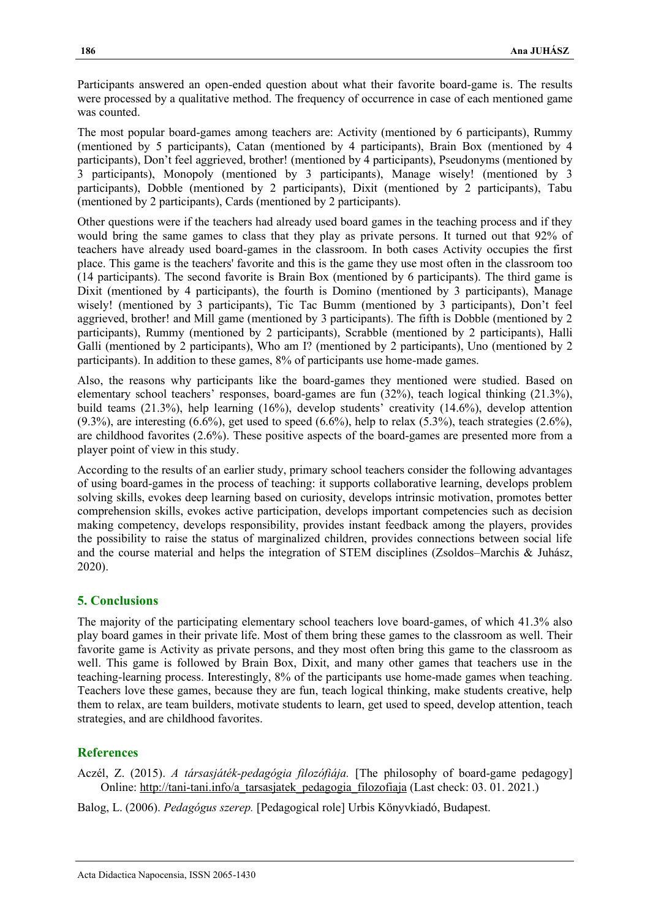Participants answered an open-ended question about what their favorite board-game is. The results were processed by a qualitative method. The frequency of occurrence in case of each mentioned game was counted.

The most popular board-games among teachers are: Activity (mentioned by 6 participants), Rummy (mentioned by 5 participants), Catan (mentioned by 4 participants), Brain Box (mentioned by 4 participants), Don't feel aggrieved, brother! (mentioned by 4 participants), Pseudonyms (mentioned by 3 participants), Monopoly (mentioned by 3 participants), Manage wisely! (mentioned by 3 participants), Dobble (mentioned by 2 participants), Dixit (mentioned by 2 participants), Tabu (mentioned by 2 participants), Cards (mentioned by 2 participants).

Other questions were if the teachers had already used board games in the teaching process and if they would bring the same games to class that they play as private persons. It turned out that 92% of teachers have already used board-games in the classroom. In both cases Activity occupies the first place. This game is the teachers' favorite and this is the game they use most often in the classroom too (14 participants). The second favorite is Brain Box (mentioned by 6 participants). The third game is Dixit (mentioned by 4 participants), the fourth is Domino (mentioned by 3 participants), Manage wisely! (mentioned by 3 participants), Tic Tac Bumm (mentioned by 3 participants), Don't feel aggrieved, brother! and Mill game (mentioned by 3 participants). The fifth is Dobble (mentioned by 2 participants), Rummy (mentioned by 2 participants), Scrabble (mentioned by 2 participants), Halli Galli (mentioned by 2 participants), Who am I? (mentioned by 2 participants), Uno (mentioned by 2 participants). In addition to these games, 8% of participants use home-made games.

Also, the reasons why participants like the board-games they mentioned were studied. Based on elementary school teachers' responses, board-games are fun (32%), teach logical thinking (21.3%), build teams (21.3%), help learning (16%), develop students' creativity (14.6%), develop attention  $(9.3\%)$ , are interesting  $(6.6\%)$ , get used to speed  $(6.6\%)$ , help to relax  $(5.3\%)$ , teach strategies  $(2.6\%)$ , are childhood favorites (2.6%). These positive aspects of the board-games are presented more from a player point of view in this study.

According to the results of an earlier study, primary school teachers consider the following advantages of using board-games in the process of teaching: it supports collaborative learning, develops problem solving skills, evokes deep learning based on curiosity, develops intrinsic motivation, promotes better comprehension skills, evokes active participation, develops important competencies such as decision making competency, develops responsibility, provides instant feedback among the players, provides the possibility to raise the status of marginalized children, provides connections between social life and the course material and helps the integration of STEM disciplines (Zsoldos–Marchis & Juhász, 2020).

## **5. Conclusions**

The majority of the participating elementary school teachers love board-games, of which 41.3% also play board games in their private life. Most of them bring these games to the classroom as well. Their favorite game is Activity as private persons, and they most often bring this game to the classroom as well. This game is followed by Brain Box, Dixit, and many other games that teachers use in the teaching-learning process. Interestingly, 8% of the participants use home-made games when teaching. Teachers love these games, because they are fun, teach logical thinking, make students creative, help them to relax, are team builders, motivate students to learn, get used to speed, develop attention, teach strategies, and are childhood favorites.

## **References**

Aczél, Z. (2015). *A társasjáték-pedagógia filozófiája.* [The philosophy of board-game pedagogy] Online: [http://tani-tani.info/a\\_tarsasjatek\\_pedagogia\\_filozofiaja](http://tani-tani.info/a_tarsasjatek_pedagogia_filozofiaja) (Last check: 03. 01. 2021.)

Balog, L. (2006). *Pedagógus szerep.* [Pedagogical role] Urbis Könyvkiadó, Budapest.